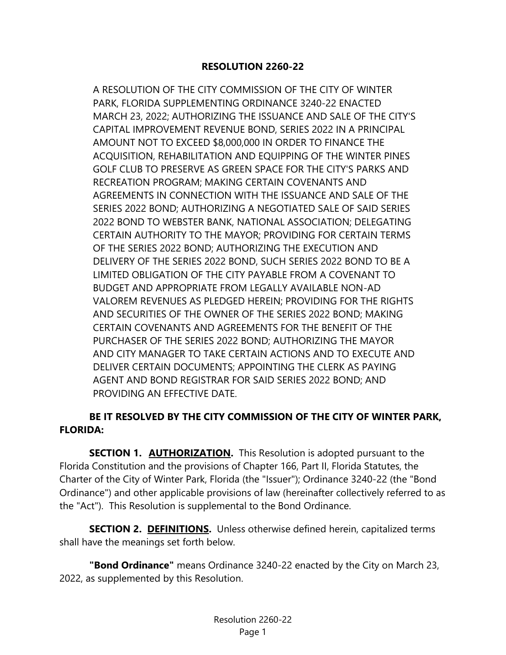## **RESOLUTION 2260-22**

A RESOLUTION OF THE CITY COMMISSION OF THE CITY OF WINTER PARK, FLORIDA SUPPLEMENTING ORDINANCE 3240-22 ENACTED MARCH 23, 2022; AUTHORIZING THE ISSUANCE AND SALE OF THE CITY'S CAPITAL IMPROVEMENT REVENUE BOND, SERIES 2022 IN A PRINCIPAL AMOUNT NOT TO EXCEED \$8,000,000 IN ORDER TO FINANCE THE ACQUISITION, REHABILITATION AND EQUIPPING OF THE WINTER PINES GOLF CLUB TO PRESERVE AS GREEN SPACE FOR THE CITY'S PARKS AND RECREATION PROGRAM; MAKING CERTAIN COVENANTS AND AGREEMENTS IN CONNECTION WITH THE ISSUANCE AND SALE OF THE SERIES 2022 BOND; AUTHORIZING A NEGOTIATED SALE OF SAID SERIES 2022 BOND TO WEBSTER BANK, NATIONAL ASSOCIATION; DELEGATING CERTAIN AUTHORITY TO THE MAYOR; PROVIDING FOR CERTAIN TERMS OF THE SERIES 2022 BOND; AUTHORIZING THE EXECUTION AND DELIVERY OF THE SERIES 2022 BOND, SUCH SERIES 2022 BOND TO BE A LIMITED OBLIGATION OF THE CITY PAYABLE FROM A COVENANT TO BUDGET AND APPROPRIATE FROM LEGALLY AVAILABLE NON-AD VALOREM REVENUES AS PLEDGED HEREIN; PROVIDING FOR THE RIGHTS AND SECURITIES OF THE OWNER OF THE SERIES 2022 BOND; MAKING CERTAIN COVENANTS AND AGREEMENTS FOR THE BENEFIT OF THE PURCHASER OF THE SERIES 2022 BOND; AUTHORIZING THE MAYOR AND CITY MANAGER TO TAKE CERTAIN ACTIONS AND TO EXECUTE AND DELIVER CERTAIN DOCUMENTS; APPOINTING THE CLERK AS PAYING AGENT AND BOND REGISTRAR FOR SAID SERIES 2022 BOND; AND PROVIDING AN EFFECTIVE DATE.

# **BE IT RESOLVED BY THE CITY COMMISSION OF THE CITY OF WINTER PARK, FLORIDA:**

**SECTION 1. AUTHORIZATION.** This Resolution is adopted pursuant to the Florida Constitution and the provisions of Chapter 166, Part II, Florida Statutes, the Charter of the City of Winter Park, Florida (the "Issuer"); Ordinance 3240-22 (the "Bond Ordinance") and other applicable provisions of law (hereinafter collectively referred to as the "Act"). This Resolution is supplemental to the Bond Ordinance.

**SECTION 2. DEFINITIONS.** Unless otherwise defined herein, capitalized terms shall have the meanings set forth below.

**"Bond Ordinance"** means Ordinance 3240-22 enacted by the City on March 23, 2022, as supplemented by this Resolution.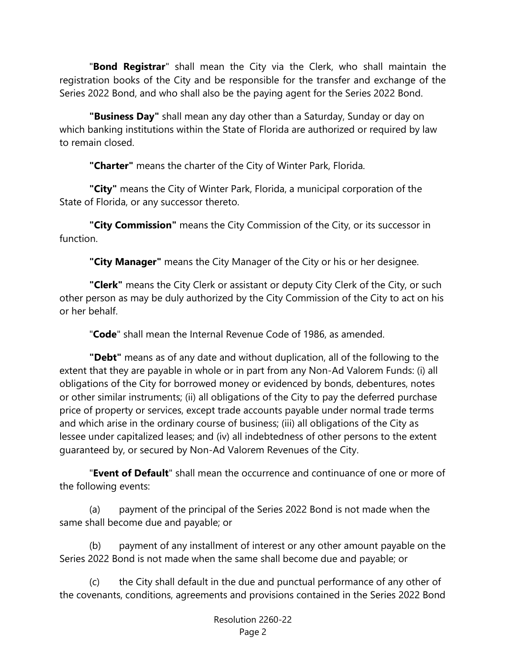"**Bond Registrar**" shall mean the City via the Clerk, who shall maintain the registration books of the City and be responsible for the transfer and exchange of the Series 2022 Bond, and who shall also be the paying agent for the Series 2022 Bond.

**"Business Day"** shall mean any day other than a Saturday, Sunday or day on which banking institutions within the State of Florida are authorized or required by law to remain closed.

**"Charter"** means the charter of the City of Winter Park, Florida.

**"City"** means the City of Winter Park, Florida, a municipal corporation of the State of Florida, or any successor thereto.

**"City Commission"** means the City Commission of the City, or its successor in function.

**"City Manager"** means the City Manager of the City or his or her designee.

**"Clerk"** means the City Clerk or assistant or deputy City Clerk of the City, or such other person as may be duly authorized by the City Commission of the City to act on his or her behalf.

"**Code**" shall mean the Internal Revenue Code of 1986, as amended.

**"Debt"** means as of any date and without duplication, all of the following to the extent that they are payable in whole or in part from any Non-Ad Valorem Funds: (i) all obligations of the City for borrowed money or evidenced by bonds, debentures, notes or other similar instruments; (ii) all obligations of the City to pay the deferred purchase price of property or services, except trade accounts payable under normal trade terms and which arise in the ordinary course of business; (iii) all obligations of the City as lessee under capitalized leases; and (iv) all indebtedness of other persons to the extent guaranteed by, or secured by Non-Ad Valorem Revenues of the City.

"**Event of Default**" shall mean the occurrence and continuance of one or more of the following events:

(a) payment of the principal of the Series 2022 Bond is not made when the same shall become due and payable; or

(b) payment of any installment of interest or any other amount payable on the Series 2022 Bond is not made when the same shall become due and payable; or

(c) the City shall default in the due and punctual performance of any other of the covenants, conditions, agreements and provisions contained in the Series 2022 Bond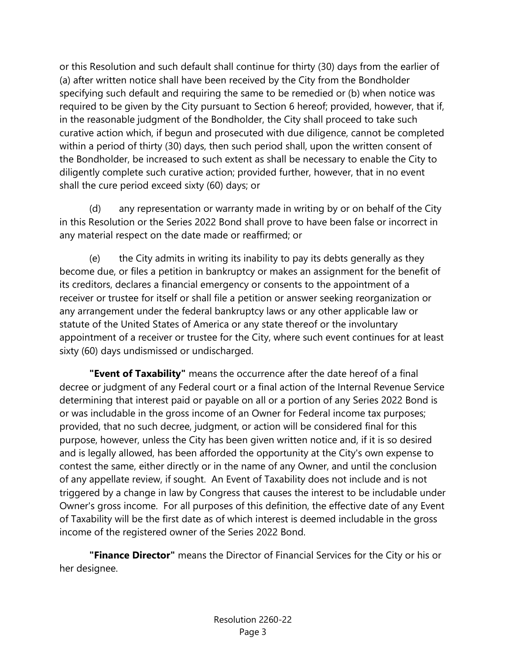or this Resolution and such default shall continue for thirty (30) days from the earlier of (a) after written notice shall have been received by the City from the Bondholder specifying such default and requiring the same to be remedied or (b) when notice was required to be given by the City pursuant to Section 6 hereof; provided, however, that if, in the reasonable judgment of the Bondholder, the City shall proceed to take such curative action which, if begun and prosecuted with due diligence, cannot be completed within a period of thirty (30) days, then such period shall, upon the written consent of the Bondholder, be increased to such extent as shall be necessary to enable the City to diligently complete such curative action; provided further, however, that in no event shall the cure period exceed sixty (60) days; or

(d) any representation or warranty made in writing by or on behalf of the City in this Resolution or the Series 2022 Bond shall prove to have been false or incorrect in any material respect on the date made or reaffirmed; or

(e) the City admits in writing its inability to pay its debts generally as they become due, or files a petition in bankruptcy or makes an assignment for the benefit of its creditors, declares a financial emergency or consents to the appointment of a receiver or trustee for itself or shall file a petition or answer seeking reorganization or any arrangement under the federal bankruptcy laws or any other applicable law or statute of the United States of America or any state thereof or the involuntary appointment of a receiver or trustee for the City, where such event continues for at least sixty (60) days undismissed or undischarged.

**"Event of Taxability"** means the occurrence after the date hereof of a final decree or judgment of any Federal court or a final action of the Internal Revenue Service determining that interest paid or payable on all or a portion of any Series 2022 Bond is or was includable in the gross income of an Owner for Federal income tax purposes; provided, that no such decree, judgment, or action will be considered final for this purpose, however, unless the City has been given written notice and, if it is so desired and is legally allowed, has been afforded the opportunity at the City's own expense to contest the same, either directly or in the name of any Owner, and until the conclusion of any appellate review, if sought. An Event of Taxability does not include and is not triggered by a change in law by Congress that causes the interest to be includable under Owner's gross income. For all purposes of this definition, the effective date of any Event of Taxability will be the first date as of which interest is deemed includable in the gross income of the registered owner of the Series 2022 Bond.

**"Finance Director"** means the Director of Financial Services for the City or his or her designee.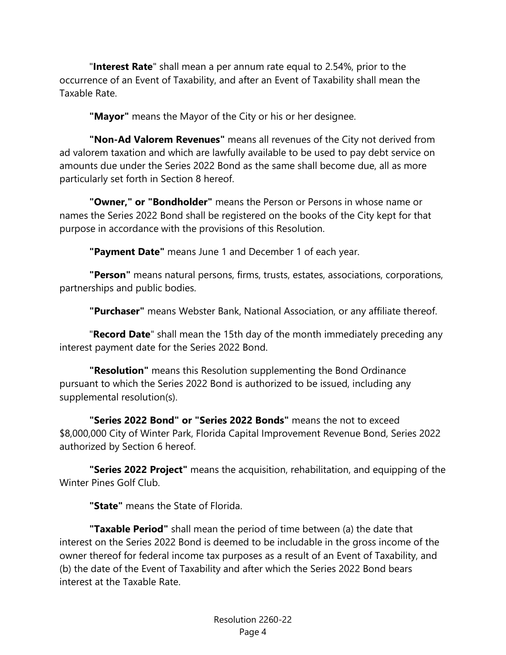"**Interest Rate**" shall mean a per annum rate equal to 2.54%, prior to the occurrence of an Event of Taxability, and after an Event of Taxability shall mean the Taxable Rate.

**"Mayor"** means the Mayor of the City or his or her designee.

**"Non-Ad Valorem Revenues"** means all revenues of the City not derived from ad valorem taxation and which are lawfully available to be used to pay debt service on amounts due under the Series 2022 Bond as the same shall become due, all as more particularly set forth in Section 8 hereof.

**"Owner," or "Bondholder"** means the Person or Persons in whose name or names the Series 2022 Bond shall be registered on the books of the City kept for that purpose in accordance with the provisions of this Resolution.

**"Payment Date"** means June 1 and December 1 of each year.

**"Person"** means natural persons, firms, trusts, estates, associations, corporations, partnerships and public bodies.

**"Purchaser"** means Webster Bank, National Association, or any affiliate thereof.

"**Record Date**" shall mean the 15th day of the month immediately preceding any interest payment date for the Series 2022 Bond.

**"Resolution"** means this Resolution supplementing the Bond Ordinance pursuant to which the Series 2022 Bond is authorized to be issued, including any supplemental resolution(s).

**"Series 2022 Bond" or "Series 2022 Bonds"** means the not to exceed \$8,000,000 City of Winter Park, Florida Capital Improvement Revenue Bond, Series 2022 authorized by Section 6 hereof.

**"Series 2022 Project"** means the acquisition, rehabilitation, and equipping of the Winter Pines Golf Club.

**"State"** means the State of Florida.

**"Taxable Period"** shall mean the period of time between (a) the date that interest on the Series 2022 Bond is deemed to be includable in the gross income of the owner thereof for federal income tax purposes as a result of an Event of Taxability, and (b) the date of the Event of Taxability and after which the Series 2022 Bond bears interest at the Taxable Rate.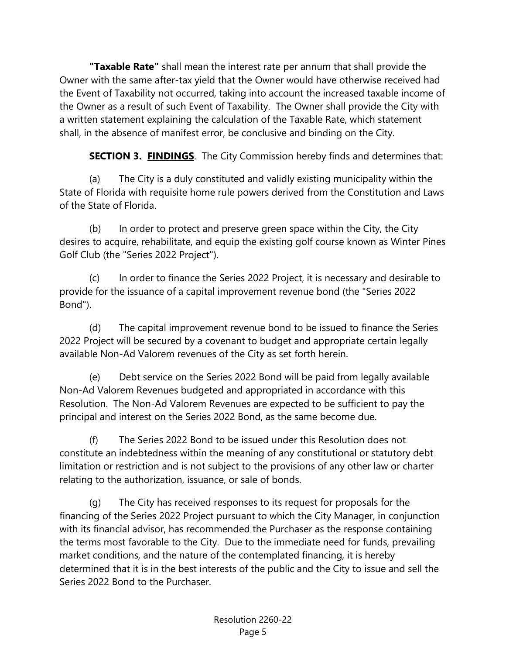**"Taxable Rate"** shall mean the interest rate per annum that shall provide the Owner with the same after-tax yield that the Owner would have otherwise received had the Event of Taxability not occurred, taking into account the increased taxable income of the Owner as a result of such Event of Taxability. The Owner shall provide the City with a written statement explaining the calculation of the Taxable Rate, which statement shall, in the absence of manifest error, be conclusive and binding on the City.

**SECTION 3. FINDINGS**. The City Commission hereby finds and determines that:

(a) The City is a duly constituted and validly existing municipality within the State of Florida with requisite home rule powers derived from the Constitution and Laws of the State of Florida.

(b) In order to protect and preserve green space within the City, the City desires to acquire, rehabilitate, and equip the existing golf course known as Winter Pines Golf Club (the "Series 2022 Project").

(c) In order to finance the Series 2022 Project, it is necessary and desirable to provide for the issuance of a capital improvement revenue bond (the "Series 2022 Bond").

(d) The capital improvement revenue bond to be issued to finance the Series 2022 Project will be secured by a covenant to budget and appropriate certain legally available Non-Ad Valorem revenues of the City as set forth herein.

(e) Debt service on the Series 2022 Bond will be paid from legally available Non-Ad Valorem Revenues budgeted and appropriated in accordance with this Resolution. The Non-Ad Valorem Revenues are expected to be sufficient to pay the principal and interest on the Series 2022 Bond, as the same become due.

(f) The Series 2022 Bond to be issued under this Resolution does not constitute an indebtedness within the meaning of any constitutional or statutory debt limitation or restriction and is not subject to the provisions of any other law or charter relating to the authorization, issuance, or sale of bonds.

(g) The City has received responses to its request for proposals for the financing of the Series 2022 Project pursuant to which the City Manager, in conjunction with its financial advisor, has recommended the Purchaser as the response containing the terms most favorable to the City. Due to the immediate need for funds, prevailing market conditions, and the nature of the contemplated financing, it is hereby determined that it is in the best interests of the public and the City to issue and sell the Series 2022 Bond to the Purchaser.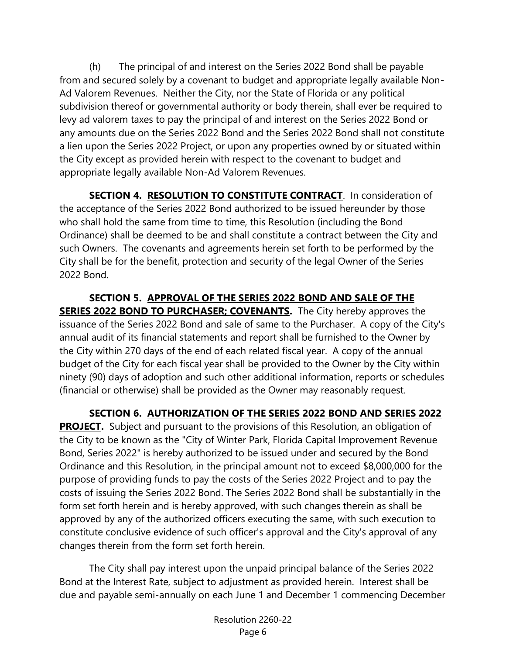(h) The principal of and interest on the Series 2022 Bond shall be payable from and secured solely by a covenant to budget and appropriate legally available Non-Ad Valorem Revenues. Neither the City, nor the State of Florida or any political subdivision thereof or governmental authority or body therein, shall ever be required to levy ad valorem taxes to pay the principal of and interest on the Series 2022 Bond or any amounts due on the Series 2022 Bond and the Series 2022 Bond shall not constitute a lien upon the Series 2022 Project, or upon any properties owned by or situated within the City except as provided herein with respect to the covenant to budget and appropriate legally available Non-Ad Valorem Revenues.

**SECTION 4. RESOLUTION TO CONSTITUTE CONTRACT**. In consideration of the acceptance of the Series 2022 Bond authorized to be issued hereunder by those who shall hold the same from time to time, this Resolution (including the Bond Ordinance) shall be deemed to be and shall constitute a contract between the City and such Owners. The covenants and agreements herein set forth to be performed by the City shall be for the benefit, protection and security of the legal Owner of the Series 2022 Bond.

**SECTION 5. APPROVAL OF THE SERIES 2022 BOND AND SALE OF THE SERIES 2022 BOND TO PURCHASER; COVENANTS.** The City hereby approves the issuance of the Series 2022 Bond and sale of same to the Purchaser. A copy of the City's annual audit of its financial statements and report shall be furnished to the Owner by the City within 270 days of the end of each related fiscal year. A copy of the annual budget of the City for each fiscal year shall be provided to the Owner by the City within ninety (90) days of adoption and such other additional information, reports or schedules (financial or otherwise) shall be provided as the Owner may reasonably request.

**SECTION 6. AUTHORIZATION OF THE SERIES 2022 BOND AND SERIES 2022** 

**PROJECT.** Subject and pursuant to the provisions of this Resolution, an obligation of the City to be known as the "City of Winter Park, Florida Capital Improvement Revenue Bond, Series 2022" is hereby authorized to be issued under and secured by the Bond Ordinance and this Resolution, in the principal amount not to exceed \$8,000,000 for the purpose of providing funds to pay the costs of the Series 2022 Project and to pay the costs of issuing the Series 2022 Bond. The Series 2022 Bond shall be substantially in the form set forth herein and is hereby approved, with such changes therein as shall be approved by any of the authorized officers executing the same, with such execution to constitute conclusive evidence of such officer's approval and the City's approval of any changes therein from the form set forth herein.

The City shall pay interest upon the unpaid principal balance of the Series 2022 Bond at the Interest Rate, subject to adjustment as provided herein. Interest shall be due and payable semi-annually on each June 1 and December 1 commencing December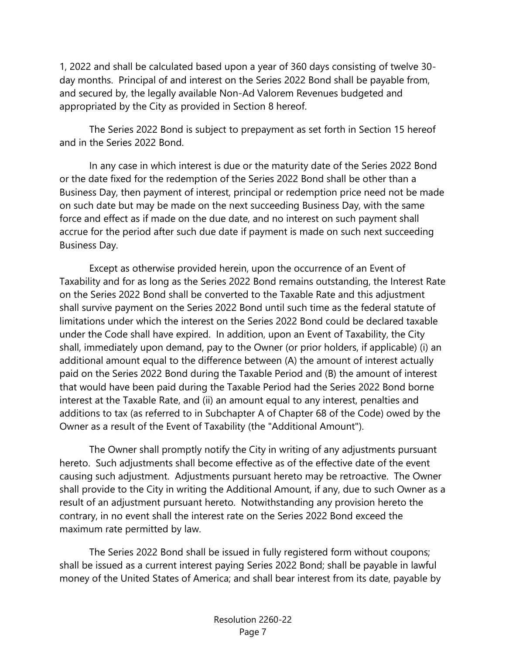1, 2022 and shall be calculated based upon a year of 360 days consisting of twelve 30 day months. Principal of and interest on the Series 2022 Bond shall be payable from, and secured by, the legally available Non-Ad Valorem Revenues budgeted and appropriated by the City as provided in Section 8 hereof.

The Series 2022 Bond is subject to prepayment as set forth in Section 15 hereof and in the Series 2022 Bond.

In any case in which interest is due or the maturity date of the Series 2022 Bond or the date fixed for the redemption of the Series 2022 Bond shall be other than a Business Day, then payment of interest, principal or redemption price need not be made on such date but may be made on the next succeeding Business Day, with the same force and effect as if made on the due date, and no interest on such payment shall accrue for the period after such due date if payment is made on such next succeeding Business Day.

Except as otherwise provided herein, upon the occurrence of an Event of Taxability and for as long as the Series 2022 Bond remains outstanding, the Interest Rate on the Series 2022 Bond shall be converted to the Taxable Rate and this adjustment shall survive payment on the Series 2022 Bond until such time as the federal statute of limitations under which the interest on the Series 2022 Bond could be declared taxable under the Code shall have expired. In addition, upon an Event of Taxability, the City shall, immediately upon demand, pay to the Owner (or prior holders, if applicable) (i) an additional amount equal to the difference between (A) the amount of interest actually paid on the Series 2022 Bond during the Taxable Period and (B) the amount of interest that would have been paid during the Taxable Period had the Series 2022 Bond borne interest at the Taxable Rate, and (ii) an amount equal to any interest, penalties and additions to tax (as referred to in Subchapter A of Chapter 68 of the Code) owed by the Owner as a result of the Event of Taxability (the "Additional Amount").

The Owner shall promptly notify the City in writing of any adjustments pursuant hereto. Such adjustments shall become effective as of the effective date of the event causing such adjustment. Adjustments pursuant hereto may be retroactive. The Owner shall provide to the City in writing the Additional Amount, if any, due to such Owner as a result of an adjustment pursuant hereto. Notwithstanding any provision hereto the contrary, in no event shall the interest rate on the Series 2022 Bond exceed the maximum rate permitted by law.

The Series 2022 Bond shall be issued in fully registered form without coupons; shall be issued as a current interest paying Series 2022 Bond; shall be payable in lawful money of the United States of America; and shall bear interest from its date, payable by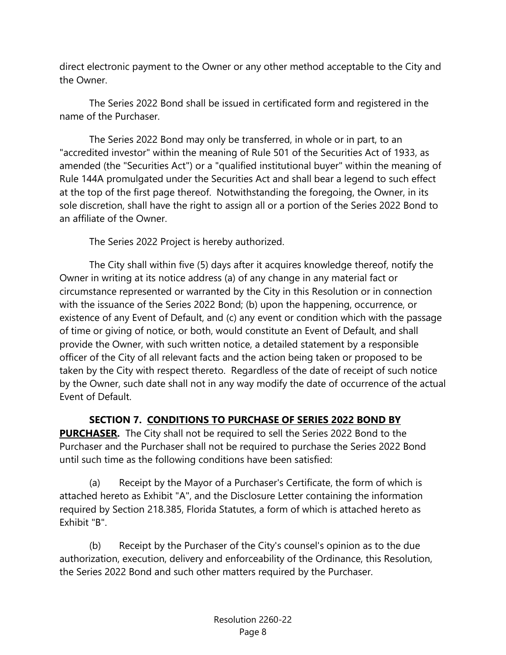direct electronic payment to the Owner or any other method acceptable to the City and the Owner.

The Series 2022 Bond shall be issued in certificated form and registered in the name of the Purchaser.

The Series 2022 Bond may only be transferred, in whole or in part, to an "accredited investor" within the meaning of Rule 501 of the Securities Act of 1933, as amended (the "Securities Act") or a "qualified institutional buyer" within the meaning of Rule 144A promulgated under the Securities Act and shall bear a legend to such effect at the top of the first page thereof. Notwithstanding the foregoing, the Owner, in its sole discretion, shall have the right to assign all or a portion of the Series 2022 Bond to an affiliate of the Owner.

The Series 2022 Project is hereby authorized.

The City shall within five (5) days after it acquires knowledge thereof, notify the Owner in writing at its notice address (a) of any change in any material fact or circumstance represented or warranted by the City in this Resolution or in connection with the issuance of the Series 2022 Bond; (b) upon the happening, occurrence, or existence of any Event of Default, and (c) any event or condition which with the passage of time or giving of notice, or both, would constitute an Event of Default, and shall provide the Owner, with such written notice, a detailed statement by a responsible officer of the City of all relevant facts and the action being taken or proposed to be taken by the City with respect thereto. Regardless of the date of receipt of such notice by the Owner, such date shall not in any way modify the date of occurrence of the actual Event of Default.

**SECTION 7. CONDITIONS TO PURCHASE OF SERIES 2022 BOND BY PURCHASER.** The City shall not be required to sell the Series 2022 Bond to the Purchaser and the Purchaser shall not be required to purchase the Series 2022 Bond until such time as the following conditions have been satisfied:

(a) Receipt by the Mayor of a Purchaser's Certificate, the form of which is attached hereto as Exhibit "A", and the Disclosure Letter containing the information required by Section 218.385, Florida Statutes, a form of which is attached hereto as Exhibit "B".

(b) Receipt by the Purchaser of the City's counsel's opinion as to the due authorization, execution, delivery and enforceability of the Ordinance, this Resolution, the Series 2022 Bond and such other matters required by the Purchaser.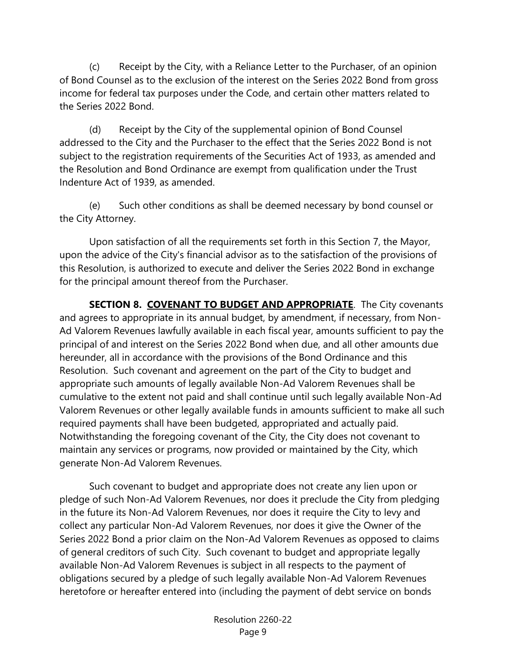(c) Receipt by the City, with a Reliance Letter to the Purchaser, of an opinion of Bond Counsel as to the exclusion of the interest on the Series 2022 Bond from gross income for federal tax purposes under the Code, and certain other matters related to the Series 2022 Bond.

(d) Receipt by the City of the supplemental opinion of Bond Counsel addressed to the City and the Purchaser to the effect that the Series 2022 Bond is not subject to the registration requirements of the Securities Act of 1933, as amended and the Resolution and Bond Ordinance are exempt from qualification under the Trust Indenture Act of 1939, as amended.

(e) Such other conditions as shall be deemed necessary by bond counsel or the City Attorney.

Upon satisfaction of all the requirements set forth in this Section 7, the Mayor, upon the advice of the City's financial advisor as to the satisfaction of the provisions of this Resolution, is authorized to execute and deliver the Series 2022 Bond in exchange for the principal amount thereof from the Purchaser.

**SECTION 8. COVENANT TO BUDGET AND APPROPRIATE**. The City covenants and agrees to appropriate in its annual budget, by amendment, if necessary, from Non-Ad Valorem Revenues lawfully available in each fiscal year, amounts sufficient to pay the principal of and interest on the Series 2022 Bond when due, and all other amounts due hereunder, all in accordance with the provisions of the Bond Ordinance and this Resolution. Such covenant and agreement on the part of the City to budget and appropriate such amounts of legally available Non-Ad Valorem Revenues shall be cumulative to the extent not paid and shall continue until such legally available Non-Ad Valorem Revenues or other legally available funds in amounts sufficient to make all such required payments shall have been budgeted, appropriated and actually paid. Notwithstanding the foregoing covenant of the City, the City does not covenant to maintain any services or programs, now provided or maintained by the City, which generate Non-Ad Valorem Revenues.

Such covenant to budget and appropriate does not create any lien upon or pledge of such Non-Ad Valorem Revenues, nor does it preclude the City from pledging in the future its Non-Ad Valorem Revenues, nor does it require the City to levy and collect any particular Non-Ad Valorem Revenues, nor does it give the Owner of the Series 2022 Bond a prior claim on the Non-Ad Valorem Revenues as opposed to claims of general creditors of such City. Such covenant to budget and appropriate legally available Non-Ad Valorem Revenues is subject in all respects to the payment of obligations secured by a pledge of such legally available Non-Ad Valorem Revenues heretofore or hereafter entered into (including the payment of debt service on bonds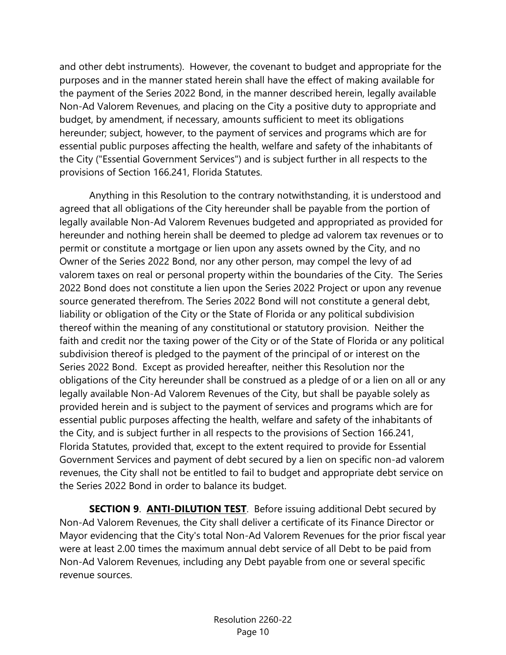and other debt instruments). However, the covenant to budget and appropriate for the purposes and in the manner stated herein shall have the effect of making available for the payment of the Series 2022 Bond, in the manner described herein, legally available Non-Ad Valorem Revenues, and placing on the City a positive duty to appropriate and budget, by amendment, if necessary, amounts sufficient to meet its obligations hereunder; subject, however, to the payment of services and programs which are for essential public purposes affecting the health, welfare and safety of the inhabitants of the City ("Essential Government Services") and is subject further in all respects to the provisions of Section 166.241, Florida Statutes.

Anything in this Resolution to the contrary notwithstanding, it is understood and agreed that all obligations of the City hereunder shall be payable from the portion of legally available Non-Ad Valorem Revenues budgeted and appropriated as provided for hereunder and nothing herein shall be deemed to pledge ad valorem tax revenues or to permit or constitute a mortgage or lien upon any assets owned by the City, and no Owner of the Series 2022 Bond, nor any other person, may compel the levy of ad valorem taxes on real or personal property within the boundaries of the City. The Series 2022 Bond does not constitute a lien upon the Series 2022 Project or upon any revenue source generated therefrom. The Series 2022 Bond will not constitute a general debt, liability or obligation of the City or the State of Florida or any political subdivision thereof within the meaning of any constitutional or statutory provision. Neither the faith and credit nor the taxing power of the City or of the State of Florida or any political subdivision thereof is pledged to the payment of the principal of or interest on the Series 2022 Bond. Except as provided hereafter, neither this Resolution nor the obligations of the City hereunder shall be construed as a pledge of or a lien on all or any legally available Non-Ad Valorem Revenues of the City, but shall be payable solely as provided herein and is subject to the payment of services and programs which are for essential public purposes affecting the health, welfare and safety of the inhabitants of the City, and is subject further in all respects to the provisions of Section 166.241, Florida Statutes, provided that, except to the extent required to provide for Essential Government Services and payment of debt secured by a lien on specific non-ad valorem revenues, the City shall not be entitled to fail to budget and appropriate debt service on the Series 2022 Bond in order to balance its budget.

**SECTION 9**. **ANTI-DILUTION TEST**. Before issuing additional Debt secured by Non-Ad Valorem Revenues, the City shall deliver a certificate of its Finance Director or Mayor evidencing that the City's total Non-Ad Valorem Revenues for the prior fiscal year were at least 2.00 times the maximum annual debt service of all Debt to be paid from Non-Ad Valorem Revenues, including any Debt payable from one or several specific revenue sources.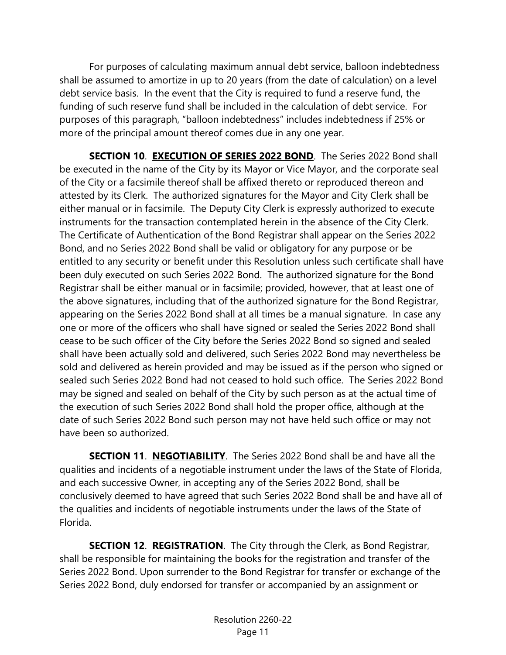For purposes of calculating maximum annual debt service, balloon indebtedness shall be assumed to amortize in up to 20 years (from the date of calculation) on a level debt service basis. In the event that the City is required to fund a reserve fund, the funding of such reserve fund shall be included in the calculation of debt service. For purposes of this paragraph, "balloon indebtedness" includes indebtedness if 25% or more of the principal amount thereof comes due in any one year.

**SECTION 10**. **EXECUTION OF SERIES 2022 BOND**. The Series 2022 Bond shall be executed in the name of the City by its Mayor or Vice Mayor, and the corporate seal of the City or a facsimile thereof shall be affixed thereto or reproduced thereon and attested by its Clerk. The authorized signatures for the Mayor and City Clerk shall be either manual or in facsimile. The Deputy City Clerk is expressly authorized to execute instruments for the transaction contemplated herein in the absence of the City Clerk. The Certificate of Authentication of the Bond Registrar shall appear on the Series 2022 Bond, and no Series 2022 Bond shall be valid or obligatory for any purpose or be entitled to any security or benefit under this Resolution unless such certificate shall have been duly executed on such Series 2022 Bond. The authorized signature for the Bond Registrar shall be either manual or in facsimile; provided, however, that at least one of the above signatures, including that of the authorized signature for the Bond Registrar, appearing on the Series 2022 Bond shall at all times be a manual signature. In case any one or more of the officers who shall have signed or sealed the Series 2022 Bond shall cease to be such officer of the City before the Series 2022 Bond so signed and sealed shall have been actually sold and delivered, such Series 2022 Bond may nevertheless be sold and delivered as herein provided and may be issued as if the person who signed or sealed such Series 2022 Bond had not ceased to hold such office. The Series 2022 Bond may be signed and sealed on behalf of the City by such person as at the actual time of the execution of such Series 2022 Bond shall hold the proper office, although at the date of such Series 2022 Bond such person may not have held such office or may not have been so authorized.

**SECTION 11**. **NEGOTIABILITY**. The Series 2022 Bond shall be and have all the qualities and incidents of a negotiable instrument under the laws of the State of Florida, and each successive Owner, in accepting any of the Series 2022 Bond, shall be conclusively deemed to have agreed that such Series 2022 Bond shall be and have all of the qualities and incidents of negotiable instruments under the laws of the State of Florida.

**SECTION 12**. **REGISTRATION**. The City through the Clerk, as Bond Registrar, shall be responsible for maintaining the books for the registration and transfer of the Series 2022 Bond. Upon surrender to the Bond Registrar for transfer or exchange of the Series 2022 Bond, duly endorsed for transfer or accompanied by an assignment or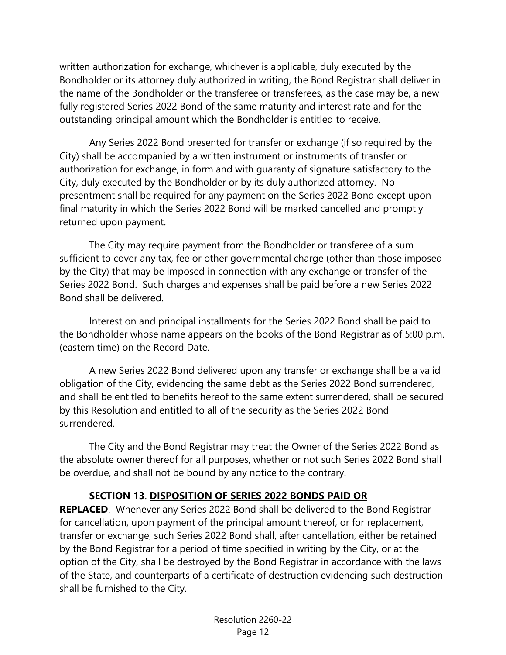written authorization for exchange, whichever is applicable, duly executed by the Bondholder or its attorney duly authorized in writing, the Bond Registrar shall deliver in the name of the Bondholder or the transferee or transferees, as the case may be, a new fully registered Series 2022 Bond of the same maturity and interest rate and for the outstanding principal amount which the Bondholder is entitled to receive.

Any Series 2022 Bond presented for transfer or exchange (if so required by the City) shall be accompanied by a written instrument or instruments of transfer or authorization for exchange, in form and with guaranty of signature satisfactory to the City, duly executed by the Bondholder or by its duly authorized attorney. No presentment shall be required for any payment on the Series 2022 Bond except upon final maturity in which the Series 2022 Bond will be marked cancelled and promptly returned upon payment.

The City may require payment from the Bondholder or transferee of a sum sufficient to cover any tax, fee or other governmental charge (other than those imposed by the City) that may be imposed in connection with any exchange or transfer of the Series 2022 Bond. Such charges and expenses shall be paid before a new Series 2022 Bond shall be delivered.

Interest on and principal installments for the Series 2022 Bond shall be paid to the Bondholder whose name appears on the books of the Bond Registrar as of 5:00 p.m. (eastern time) on the Record Date.

A new Series 2022 Bond delivered upon any transfer or exchange shall be a valid obligation of the City, evidencing the same debt as the Series 2022 Bond surrendered, and shall be entitled to benefits hereof to the same extent surrendered, shall be secured by this Resolution and entitled to all of the security as the Series 2022 Bond surrendered.

The City and the Bond Registrar may treat the Owner of the Series 2022 Bond as the absolute owner thereof for all purposes, whether or not such Series 2022 Bond shall be overdue, and shall not be bound by any notice to the contrary.

# **SECTION 13**. **DISPOSITION OF SERIES 2022 BONDS PAID OR**

**REPLACED**. Whenever any Series 2022 Bond shall be delivered to the Bond Registrar for cancellation, upon payment of the principal amount thereof, or for replacement, transfer or exchange, such Series 2022 Bond shall, after cancellation, either be retained by the Bond Registrar for a period of time specified in writing by the City, or at the option of the City, shall be destroyed by the Bond Registrar in accordance with the laws of the State, and counterparts of a certificate of destruction evidencing such destruction shall be furnished to the City.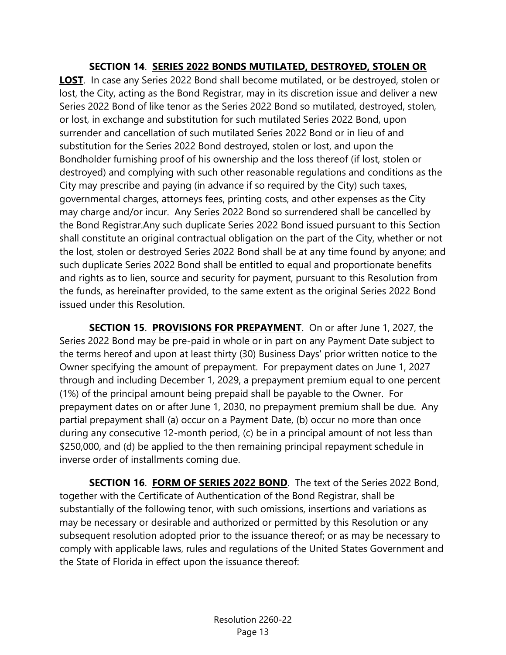## **SECTION 14**. **SERIES 2022 BONDS MUTILATED, DESTROYED, STOLEN OR**

**LOST**. In case any Series 2022 Bond shall become mutilated, or be destroyed, stolen or lost, the City, acting as the Bond Registrar, may in its discretion issue and deliver a new Series 2022 Bond of like tenor as the Series 2022 Bond so mutilated, destroyed, stolen, or lost, in exchange and substitution for such mutilated Series 2022 Bond, upon surrender and cancellation of such mutilated Series 2022 Bond or in lieu of and substitution for the Series 2022 Bond destroyed, stolen or lost, and upon the Bondholder furnishing proof of his ownership and the loss thereof (if lost, stolen or destroyed) and complying with such other reasonable regulations and conditions as the City may prescribe and paying (in advance if so required by the City) such taxes, governmental charges, attorneys fees, printing costs, and other expenses as the City may charge and/or incur. Any Series 2022 Bond so surrendered shall be cancelled by the Bond Registrar.Any such duplicate Series 2022 Bond issued pursuant to this Section shall constitute an original contractual obligation on the part of the City, whether or not the lost, stolen or destroyed Series 2022 Bond shall be at any time found by anyone; and such duplicate Series 2022 Bond shall be entitled to equal and proportionate benefits and rights as to lien, source and security for payment, pursuant to this Resolution from the funds, as hereinafter provided, to the same extent as the original Series 2022 Bond issued under this Resolution.

**SECTION 15**. **PROVISIONS FOR PREPAYMENT**. On or after June 1, 2027, the Series 2022 Bond may be pre-paid in whole or in part on any Payment Date subject to the terms hereof and upon at least thirty (30) Business Days' prior written notice to the Owner specifying the amount of prepayment. For prepayment dates on June 1, 2027 through and including December 1, 2029, a prepayment premium equal to one percent (1%) of the principal amount being prepaid shall be payable to the Owner. For prepayment dates on or after June 1, 2030, no prepayment premium shall be due. Any partial prepayment shall (a) occur on a Payment Date, (b) occur no more than once during any consecutive 12-month period, (c) be in a principal amount of not less than \$250,000, and (d) be applied to the then remaining principal repayment schedule in inverse order of installments coming due.

**SECTION 16**. **FORM OF SERIES 2022 BOND**. The text of the Series 2022 Bond, together with the Certificate of Authentication of the Bond Registrar, shall be substantially of the following tenor, with such omissions, insertions and variations as may be necessary or desirable and authorized or permitted by this Resolution or any subsequent resolution adopted prior to the issuance thereof; or as may be necessary to comply with applicable laws, rules and regulations of the United States Government and the State of Florida in effect upon the issuance thereof: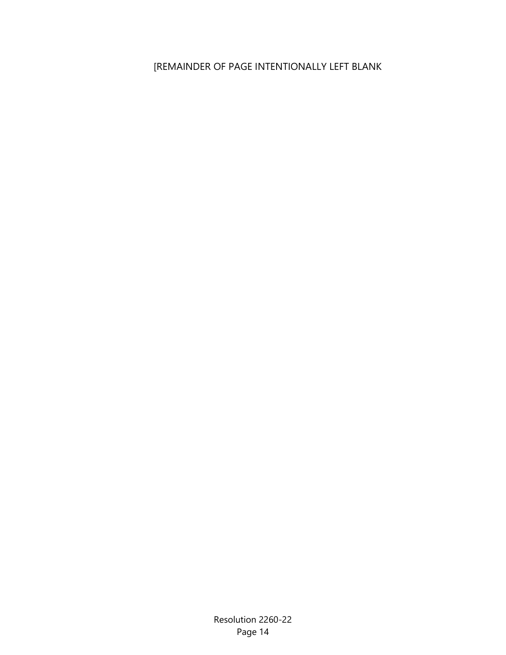[REMAINDER OF PAGE INTENTIONALLY LEFT BLANK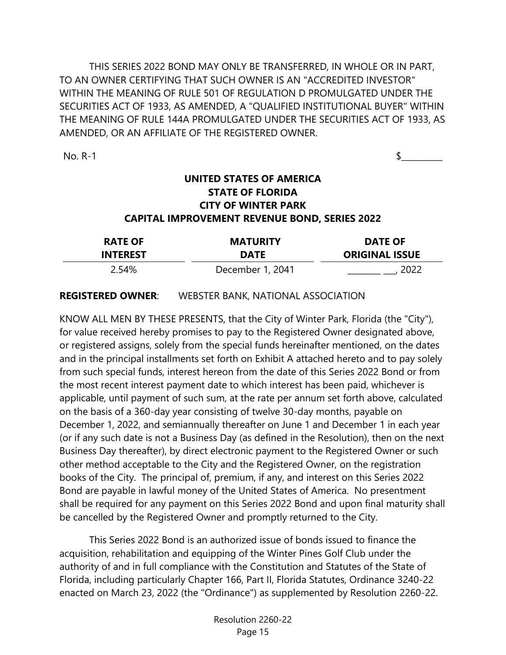THIS SERIES 2022 BOND MAY ONLY BE TRANSFERRED, IN WHOLE OR IN PART, TO AN OWNER CERTIFYING THAT SUCH OWNER IS AN "ACCREDITED INVESTOR" WITHIN THE MEANING OF RULE 501 OF REGULATION D PROMULGATED UNDER THE SECURITIES ACT OF 1933, AS AMENDED, A "QUALIFIED INSTITUTIONAL BUYER" WITHIN THE MEANING OF RULE 144A PROMULGATED UNDER THE SECURITIES ACT OF 1933, AS AMENDED, OR AN AFFILIATE OF THE REGISTERED OWNER.

No. R-1  $\text{S}_{\text{}}$ 

# **UNITED STATES OF AMERICA STATE OF FLORIDA CITY OF WINTER PARK CAPITAL IMPROVEMENT REVENUE BOND, SERIES 2022**

| <b>RATE OF</b>  | <b>MATURITY</b>  | <b>DATE OF</b>        |
|-----------------|------------------|-----------------------|
| <b>INTEREST</b> | <b>DATE</b>      | <b>ORIGINAL ISSUE</b> |
| 2.54%           | December 1, 2041 | 2022                  |

### **REGISTERED OWNER**: WEBSTER BANK, NATIONAL ASSOCIATION

KNOW ALL MEN BY THESE PRESENTS, that the City of Winter Park, Florida (the "City"), for value received hereby promises to pay to the Registered Owner designated above, or registered assigns, solely from the special funds hereinafter mentioned, on the dates and in the principal installments set forth on Exhibit A attached hereto and to pay solely from such special funds, interest hereon from the date of this Series 2022 Bond or from the most recent interest payment date to which interest has been paid, whichever is applicable, until payment of such sum, at the rate per annum set forth above, calculated on the basis of a 360-day year consisting of twelve 30-day months, payable on December 1, 2022, and semiannually thereafter on June 1 and December 1 in each year (or if any such date is not a Business Day (as defined in the Resolution), then on the next Business Day thereafter), by direct electronic payment to the Registered Owner or such other method acceptable to the City and the Registered Owner, on the registration books of the City. The principal of, premium, if any, and interest on this Series 2022 Bond are payable in lawful money of the United States of America. No presentment shall be required for any payment on this Series 2022 Bond and upon final maturity shall be cancelled by the Registered Owner and promptly returned to the City.

This Series 2022 Bond is an authorized issue of bonds issued to finance the acquisition, rehabilitation and equipping of the Winter Pines Golf Club under the authority of and in full compliance with the Constitution and Statutes of the State of Florida, including particularly Chapter 166, Part II, Florida Statutes, Ordinance 3240-22 enacted on March 23, 2022 (the "Ordinance") as supplemented by Resolution 2260-22.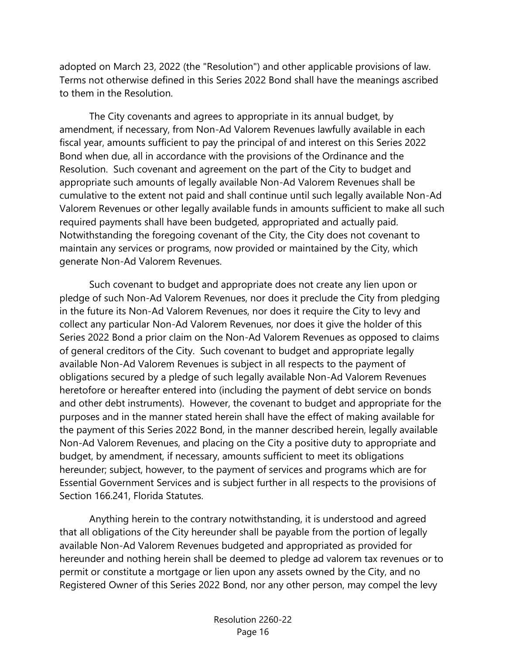adopted on March 23, 2022 (the "Resolution") and other applicable provisions of law. Terms not otherwise defined in this Series 2022 Bond shall have the meanings ascribed to them in the Resolution.

The City covenants and agrees to appropriate in its annual budget, by amendment, if necessary, from Non-Ad Valorem Revenues lawfully available in each fiscal year, amounts sufficient to pay the principal of and interest on this Series 2022 Bond when due, all in accordance with the provisions of the Ordinance and the Resolution. Such covenant and agreement on the part of the City to budget and appropriate such amounts of legally available Non-Ad Valorem Revenues shall be cumulative to the extent not paid and shall continue until such legally available Non-Ad Valorem Revenues or other legally available funds in amounts sufficient to make all such required payments shall have been budgeted, appropriated and actually paid. Notwithstanding the foregoing covenant of the City, the City does not covenant to maintain any services or programs, now provided or maintained by the City, which generate Non-Ad Valorem Revenues.

Such covenant to budget and appropriate does not create any lien upon or pledge of such Non-Ad Valorem Revenues, nor does it preclude the City from pledging in the future its Non-Ad Valorem Revenues, nor does it require the City to levy and collect any particular Non-Ad Valorem Revenues, nor does it give the holder of this Series 2022 Bond a prior claim on the Non-Ad Valorem Revenues as opposed to claims of general creditors of the City. Such covenant to budget and appropriate legally available Non-Ad Valorem Revenues is subject in all respects to the payment of obligations secured by a pledge of such legally available Non-Ad Valorem Revenues heretofore or hereafter entered into (including the payment of debt service on bonds and other debt instruments). However, the covenant to budget and appropriate for the purposes and in the manner stated herein shall have the effect of making available for the payment of this Series 2022 Bond, in the manner described herein, legally available Non-Ad Valorem Revenues, and placing on the City a positive duty to appropriate and budget, by amendment, if necessary, amounts sufficient to meet its obligations hereunder; subject, however, to the payment of services and programs which are for Essential Government Services and is subject further in all respects to the provisions of Section 166.241, Florida Statutes.

Anything herein to the contrary notwithstanding, it is understood and agreed that all obligations of the City hereunder shall be payable from the portion of legally available Non-Ad Valorem Revenues budgeted and appropriated as provided for hereunder and nothing herein shall be deemed to pledge ad valorem tax revenues or to permit or constitute a mortgage or lien upon any assets owned by the City, and no Registered Owner of this Series 2022 Bond, nor any other person, may compel the levy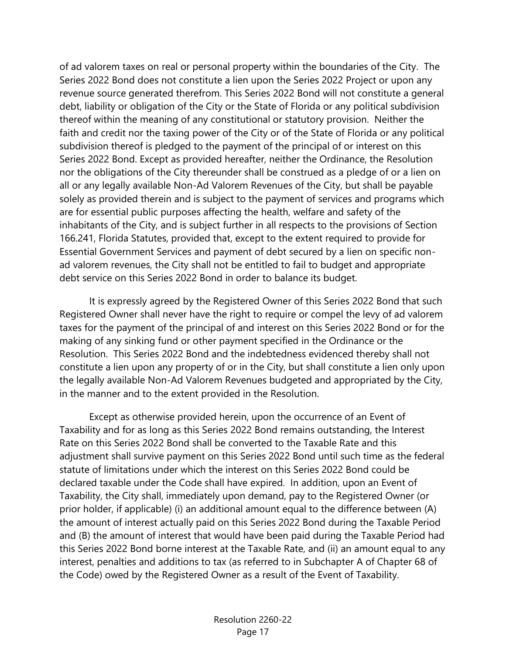of ad valorem taxes on real or personal property within the boundaries of the City. The Series 2022 Bond does not constitute a lien upon the Series 2022 Project or upon any revenue source generated therefrom. This Series 2022 Bond will not constitute a general debt, liability or obligation of the City or the State of Florida or any political subdivision thereof within the meaning of any constitutional or statutory provision. Neither the faith and credit nor the taxing power of the City or of the State of Florida or any political subdivision thereof is pledged to the payment of the principal of or interest on this Series 2022 Bond. Except as provided hereafter, neither the Ordinance, the Resolution nor the obligations of the City thereunder shall be construed as a pledge of or a lien on all or any legally available Non-Ad Valorem Revenues of the City, but shall be payable solely as provided therein and is subject to the payment of services and programs which are for essential public purposes affecting the health, welfare and safety of the inhabitants of the City, and is subject further in all respects to the provisions of Section 166.241, Florida Statutes, provided that, except to the extent required to provide for Essential Government Services and payment of debt secured by a lien on specific nonad valorem revenues, the City shall not be entitled to fail to budget and appropriate debt service on this Series 2022 Bond in order to balance its budget.

It is expressly agreed by the Registered Owner of this Series 2022 Bond that such Registered Owner shall never have the right to require or compel the levy of ad valorem taxes for the payment of the principal of and interest on this Series 2022 Bond or for the making of any sinking fund or other payment specified in the Ordinance or the Resolution. This Series 2022 Bond and the indebtedness evidenced thereby shall not constitute a lien upon any property of or in the City, but shall constitute a lien only upon the legally available Non-Ad Valorem Revenues budgeted and appropriated by the City, in the manner and to the extent provided in the Resolution.

Except as otherwise provided herein, upon the occurrence of an Event of Taxability and for as long as this Series 2022 Bond remains outstanding, the Interest Rate on this Series 2022 Bond shall be converted to the Taxable Rate and this adjustment shall survive payment on this Series 2022 Bond until such time as the federal statute of limitations under which the interest on this Series 2022 Bond could be declared taxable under the Code shall have expired. In addition, upon an Event of Taxability, the City shall, immediately upon demand, pay to the Registered Owner (or prior holder, if applicable) (i) an additional amount equal to the difference between (A) the amount of interest actually paid on this Series 2022 Bond during the Taxable Period and (B) the amount of interest that would have been paid during the Taxable Period had this Series 2022 Bond borne interest at the Taxable Rate, and (ii) an amount equal to any interest, penalties and additions to tax (as referred to in Subchapter A of Chapter 68 of the Code) owed by the Registered Owner as a result of the Event of Taxability.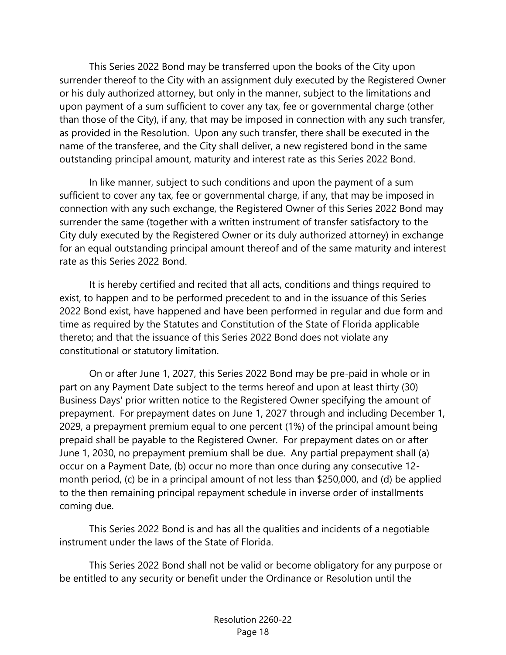This Series 2022 Bond may be transferred upon the books of the City upon surrender thereof to the City with an assignment duly executed by the Registered Owner or his duly authorized attorney, but only in the manner, subject to the limitations and upon payment of a sum sufficient to cover any tax, fee or governmental charge (other than those of the City), if any, that may be imposed in connection with any such transfer, as provided in the Resolution. Upon any such transfer, there shall be executed in the name of the transferee, and the City shall deliver, a new registered bond in the same outstanding principal amount, maturity and interest rate as this Series 2022 Bond.

In like manner, subject to such conditions and upon the payment of a sum sufficient to cover any tax, fee or governmental charge, if any, that may be imposed in connection with any such exchange, the Registered Owner of this Series 2022 Bond may surrender the same (together with a written instrument of transfer satisfactory to the City duly executed by the Registered Owner or its duly authorized attorney) in exchange for an equal outstanding principal amount thereof and of the same maturity and interest rate as this Series 2022 Bond.

It is hereby certified and recited that all acts, conditions and things required to exist, to happen and to be performed precedent to and in the issuance of this Series 2022 Bond exist, have happened and have been performed in regular and due form and time as required by the Statutes and Constitution of the State of Florida applicable thereto; and that the issuance of this Series 2022 Bond does not violate any constitutional or statutory limitation.

On or after June 1, 2027, this Series 2022 Bond may be pre-paid in whole or in part on any Payment Date subject to the terms hereof and upon at least thirty (30) Business Days' prior written notice to the Registered Owner specifying the amount of prepayment. For prepayment dates on June 1, 2027 through and including December 1, 2029, a prepayment premium equal to one percent (1%) of the principal amount being prepaid shall be payable to the Registered Owner. For prepayment dates on or after June 1, 2030, no prepayment premium shall be due. Any partial prepayment shall (a) occur on a Payment Date, (b) occur no more than once during any consecutive 12 month period, (c) be in a principal amount of not less than \$250,000, and (d) be applied to the then remaining principal repayment schedule in inverse order of installments coming due.

This Series 2022 Bond is and has all the qualities and incidents of a negotiable instrument under the laws of the State of Florida.

This Series 2022 Bond shall not be valid or become obligatory for any purpose or be entitled to any security or benefit under the Ordinance or Resolution until the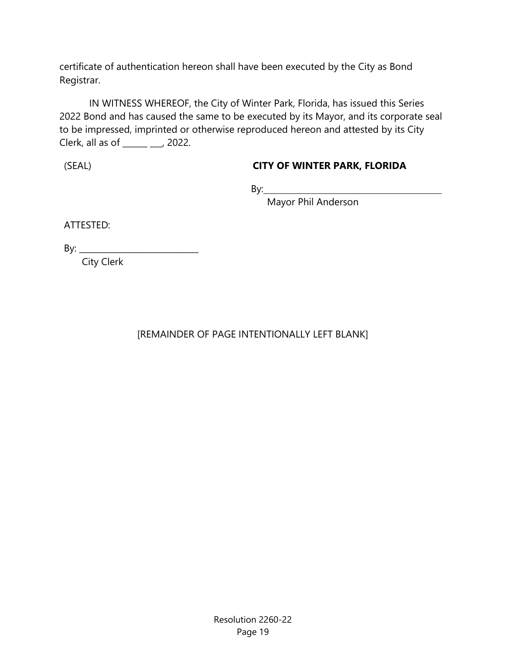certificate of authentication hereon shall have been executed by the City as Bond Registrar.

IN WITNESS WHEREOF, the City of Winter Park, Florida, has issued this Series 2022 Bond and has caused the same to be executed by its Mayor, and its corporate seal to be impressed, imprinted or otherwise reproduced hereon and attested by its City Clerk, all as of \_\_\_\_\_\_ \_\_\_, 2022.

### (SEAL) **CITY OF WINTER PARK, FLORIDA**

By:

Mayor Phil Anderson

ATTESTED:

By: \_\_\_\_\_\_\_\_\_\_\_\_\_\_\_\_\_\_\_\_\_\_\_\_\_\_\_\_\_

City Clerk

[REMAINDER OF PAGE INTENTIONALLY LEFT BLANK]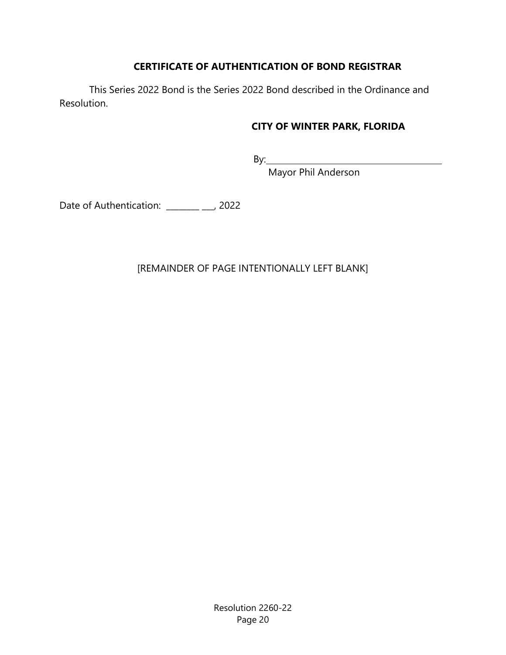# **CERTIFICATE OF AUTHENTICATION OF BOND REGISTRAR**

This Series 2022 Bond is the Series 2022 Bond described in the Ordinance and Resolution.

# **CITY OF WINTER PARK, FLORIDA**

By:

Mayor Phil Anderson

Date of Authentication: \_\_\_\_\_\_ \_\_, 2022

# [REMAINDER OF PAGE INTENTIONALLY LEFT BLANK]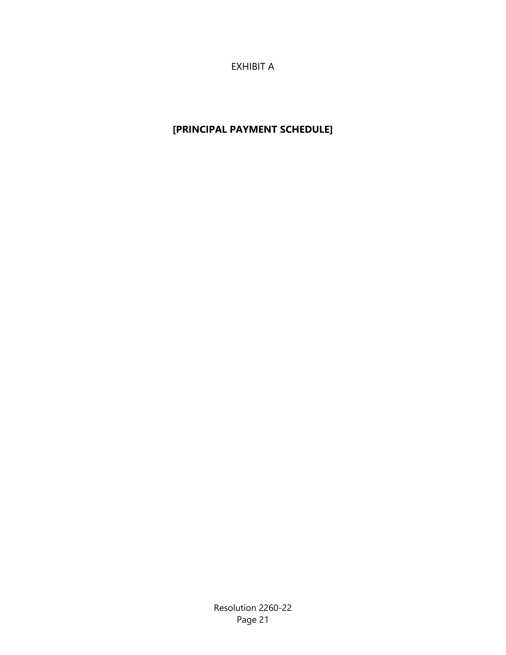EXHIBIT A

# **[PRINCIPAL PAYMENT SCHEDULE]**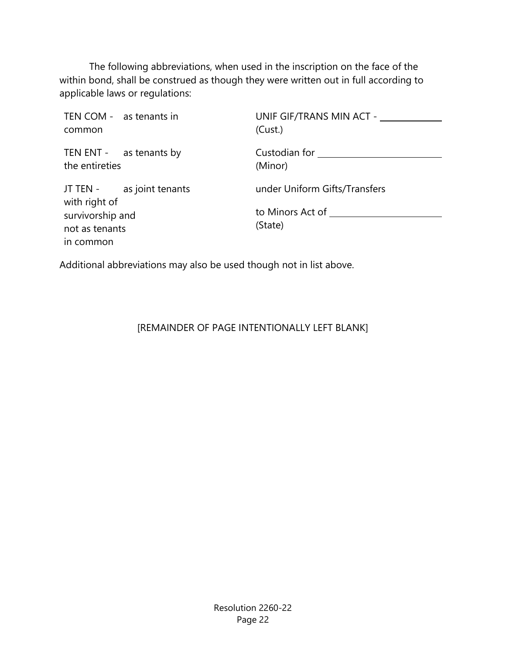The following abbreviations, when used in the inscription on the face of the within bond, shall be construed as though they were written out in full according to applicable laws or regulations:

| TEN COM - as tenants in<br>common                                |                           | UNIF GIF/TRANS MIN ACT -<br>(Cust.)                                                          |
|------------------------------------------------------------------|---------------------------|----------------------------------------------------------------------------------------------|
| the entireties                                                   | TEN ENT - as tenants by   | Custodian for ________________<br>(Minor)                                                    |
| with right of<br>survivorship and<br>not as tenants<br>in common | JT TEN - as joint tenants | under Uniform Gifts/Transfers<br>to Minors Act of <b>contains the State State</b><br>(State) |

Additional abbreviations may also be used though not in list above.

## [REMAINDER OF PAGE INTENTIONALLY LEFT BLANK]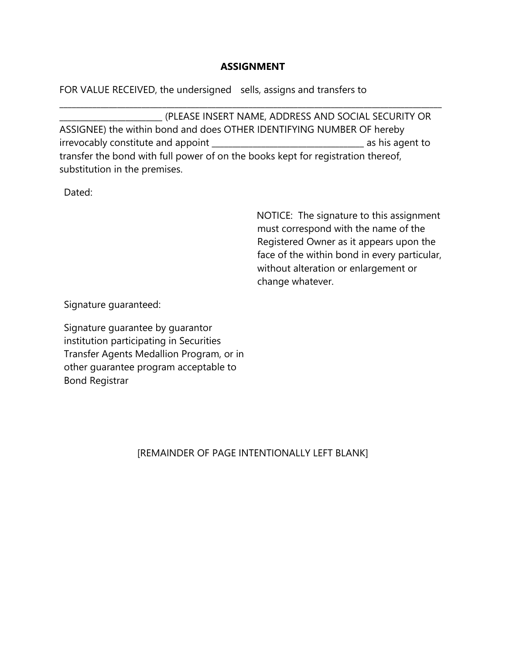### **ASSIGNMENT**

 $\_$  ,  $\_$  ,  $\_$  ,  $\_$  ,  $\_$  ,  $\_$  ,  $\_$  ,  $\_$  ,  $\_$  ,  $\_$  ,  $\_$  ,  $\_$  ,  $\_$  ,  $\_$  ,  $\_$  ,  $\_$  ,  $\_$  ,  $\_$  ,  $\_$  ,  $\_$  ,  $\_$  ,  $\_$  ,  $\_$  ,  $\_$  ,  $\_$  ,  $\_$  ,  $\_$  ,  $\_$  ,  $\_$  ,  $\_$  ,  $\_$  ,  $\_$  ,  $\_$  ,  $\_$  ,  $\_$  ,  $\_$  ,  $\_$  ,

FOR VALUE RECEIVED, the undersigned sells, assigns and transfers to

\_\_\_\_\_\_\_\_\_\_\_\_\_\_\_\_\_\_\_\_\_\_\_\_\_ (PLEASE INSERT NAME, ADDRESS AND SOCIAL SECURITY OR ASSIGNEE) the within bond and does OTHER IDENTIFYING NUMBER OF hereby irrevocably constitute and appoint \_\_\_\_\_\_\_\_\_\_\_\_\_\_\_\_\_\_\_\_\_\_\_\_\_\_\_\_\_\_\_\_\_\_\_\_\_ as his agent to transfer the bond with full power of on the books kept for registration thereof, substitution in the premises.

Dated:

NOTICE: The signature to this assignment must correspond with the name of the Registered Owner as it appears upon the face of the within bond in every particular, without alteration or enlargement or change whatever.

Signature guaranteed:

Signature guarantee by guarantor institution participating in Securities Transfer Agents Medallion Program, or in other guarantee program acceptable to Bond Registrar

[REMAINDER OF PAGE INTENTIONALLY LEFT BLANK]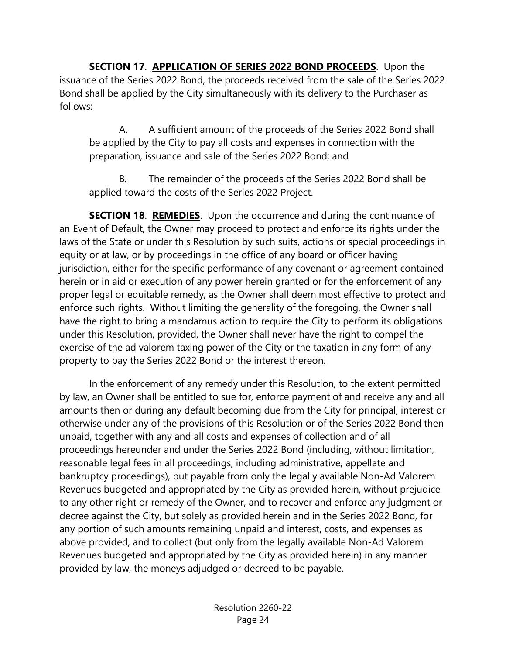**SECTION 17**. **APPLICATION OF SERIES 2022 BOND PROCEEDS**. Upon the issuance of the Series 2022 Bond, the proceeds received from the sale of the Series 2022 Bond shall be applied by the City simultaneously with its delivery to the Purchaser as follows:

A. A sufficient amount of the proceeds of the Series 2022 Bond shall be applied by the City to pay all costs and expenses in connection with the preparation, issuance and sale of the Series 2022 Bond; and

B. The remainder of the proceeds of the Series 2022 Bond shall be applied toward the costs of the Series 2022 Project.

**SECTION 18. REMEDIES.** Upon the occurrence and during the continuance of an Event of Default, the Owner may proceed to protect and enforce its rights under the laws of the State or under this Resolution by such suits, actions or special proceedings in equity or at law, or by proceedings in the office of any board or officer having jurisdiction, either for the specific performance of any covenant or agreement contained herein or in aid or execution of any power herein granted or for the enforcement of any proper legal or equitable remedy, as the Owner shall deem most effective to protect and enforce such rights. Without limiting the generality of the foregoing, the Owner shall have the right to bring a mandamus action to require the City to perform its obligations under this Resolution, provided, the Owner shall never have the right to compel the exercise of the ad valorem taxing power of the City or the taxation in any form of any property to pay the Series 2022 Bond or the interest thereon.

In the enforcement of any remedy under this Resolution, to the extent permitted by law, an Owner shall be entitled to sue for, enforce payment of and receive any and all amounts then or during any default becoming due from the City for principal, interest or otherwise under any of the provisions of this Resolution or of the Series 2022 Bond then unpaid, together with any and all costs and expenses of collection and of all proceedings hereunder and under the Series 2022 Bond (including, without limitation, reasonable legal fees in all proceedings, including administrative, appellate and bankruptcy proceedings), but payable from only the legally available Non-Ad Valorem Revenues budgeted and appropriated by the City as provided herein, without prejudice to any other right or remedy of the Owner, and to recover and enforce any judgment or decree against the City, but solely as provided herein and in the Series 2022 Bond, for any portion of such amounts remaining unpaid and interest, costs, and expenses as above provided, and to collect (but only from the legally available Non-Ad Valorem Revenues budgeted and appropriated by the City as provided herein) in any manner provided by law, the moneys adjudged or decreed to be payable.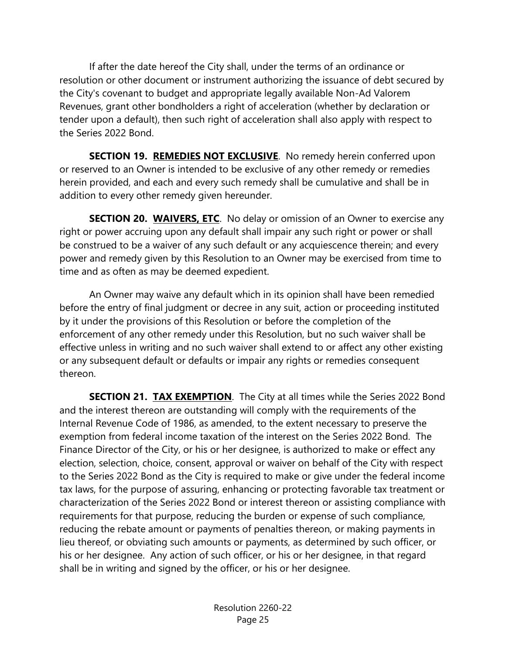If after the date hereof the City shall, under the terms of an ordinance or resolution or other document or instrument authorizing the issuance of debt secured by the City's covenant to budget and appropriate legally available Non-Ad Valorem Revenues, grant other bondholders a right of acceleration (whether by declaration or tender upon a default), then such right of acceleration shall also apply with respect to the Series 2022 Bond.

**SECTION 19. REMEDIES NOT EXCLUSIVE.** No remedy herein conferred upon or reserved to an Owner is intended to be exclusive of any other remedy or remedies herein provided, and each and every such remedy shall be cumulative and shall be in addition to every other remedy given hereunder.

**SECTION 20. WAIVERS, ETC.** No delay or omission of an Owner to exercise any right or power accruing upon any default shall impair any such right or power or shall be construed to be a waiver of any such default or any acquiescence therein; and every power and remedy given by this Resolution to an Owner may be exercised from time to time and as often as may be deemed expedient.

An Owner may waive any default which in its opinion shall have been remedied before the entry of final judgment or decree in any suit, action or proceeding instituted by it under the provisions of this Resolution or before the completion of the enforcement of any other remedy under this Resolution, but no such waiver shall be effective unless in writing and no such waiver shall extend to or affect any other existing or any subsequent default or defaults or impair any rights or remedies consequent thereon.

**SECTION 21. TAX EXEMPTION**. The City at all times while the Series 2022 Bond and the interest thereon are outstanding will comply with the requirements of the Internal Revenue Code of 1986, as amended, to the extent necessary to preserve the exemption from federal income taxation of the interest on the Series 2022 Bond. The Finance Director of the City, or his or her designee, is authorized to make or effect any election, selection, choice, consent, approval or waiver on behalf of the City with respect to the Series 2022 Bond as the City is required to make or give under the federal income tax laws, for the purpose of assuring, enhancing or protecting favorable tax treatment or characterization of the Series 2022 Bond or interest thereon or assisting compliance with requirements for that purpose, reducing the burden or expense of such compliance, reducing the rebate amount or payments of penalties thereon, or making payments in lieu thereof, or obviating such amounts or payments, as determined by such officer, or his or her designee. Any action of such officer, or his or her designee, in that regard shall be in writing and signed by the officer, or his or her designee.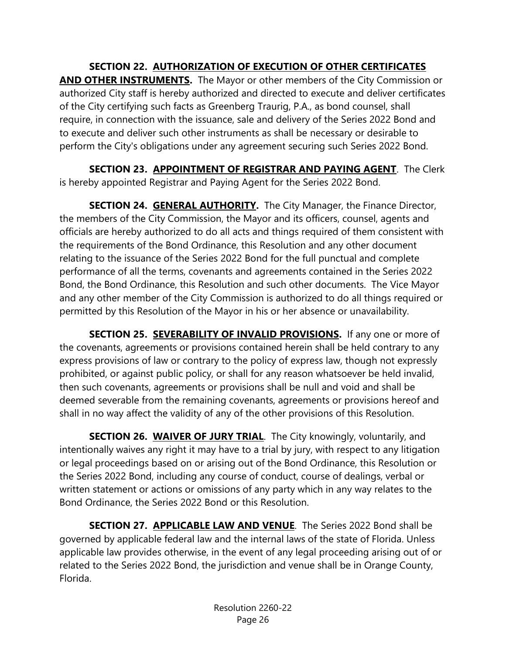**SECTION 22. AUTHORIZATION OF EXECUTION OF OTHER CERTIFICATES AND OTHER INSTRUMENTS.** The Mayor or other members of the City Commission or authorized City staff is hereby authorized and directed to execute and deliver certificates of the City certifying such facts as Greenberg Traurig, P.A., as bond counsel, shall require, in connection with the issuance, sale and delivery of the Series 2022 Bond and to execute and deliver such other instruments as shall be necessary or desirable to perform the City's obligations under any agreement securing such Series 2022 Bond.

**SECTION 23. APPOINTMENT OF REGISTRAR AND PAYING AGENT**. The Clerk is hereby appointed Registrar and Paying Agent for the Series 2022 Bond.

**SECTION 24. GENERAL AUTHORITY.** The City Manager, the Finance Director, the members of the City Commission, the Mayor and its officers, counsel, agents and officials are hereby authorized to do all acts and things required of them consistent with the requirements of the Bond Ordinance, this Resolution and any other document relating to the issuance of the Series 2022 Bond for the full punctual and complete performance of all the terms, covenants and agreements contained in the Series 2022 Bond, the Bond Ordinance, this Resolution and such other documents. The Vice Mayor and any other member of the City Commission is authorized to do all things required or permitted by this Resolution of the Mayor in his or her absence or unavailability.

**SECTION 25. SEVERABILITY OF INVALID PROVISIONS.** If any one or more of the covenants, agreements or provisions contained herein shall be held contrary to any express provisions of law or contrary to the policy of express law, though not expressly prohibited, or against public policy, or shall for any reason whatsoever be held invalid, then such covenants, agreements or provisions shall be null and void and shall be deemed severable from the remaining covenants, agreements or provisions hereof and shall in no way affect the validity of any of the other provisions of this Resolution.

**SECTION 26. WAIVER OF JURY TRIAL**. The City knowingly, voluntarily, and intentionally waives any right it may have to a trial by jury, with respect to any litigation or legal proceedings based on or arising out of the Bond Ordinance, this Resolution or the Series 2022 Bond, including any course of conduct, course of dealings, verbal or written statement or actions or omissions of any party which in any way relates to the Bond Ordinance, the Series 2022 Bond or this Resolution.

**SECTION 27. APPLICABLE LAW AND VENUE**. The Series 2022 Bond shall be governed by applicable federal law and the internal laws of the state of Florida. Unless applicable law provides otherwise, in the event of any legal proceeding arising out of or related to the Series 2022 Bond, the jurisdiction and venue shall be in Orange County, Florida.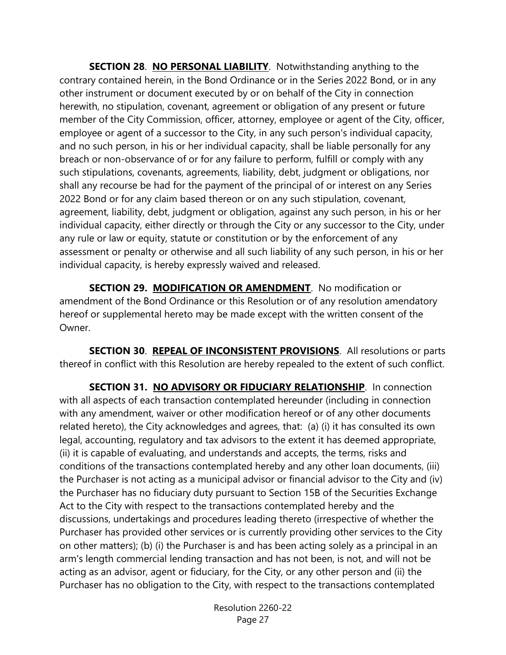**SECTION 28**. **NO PERSONAL LIABILITY**. Notwithstanding anything to the contrary contained herein, in the Bond Ordinance or in the Series 2022 Bond, or in any other instrument or document executed by or on behalf of the City in connection herewith, no stipulation, covenant, agreement or obligation of any present or future member of the City Commission, officer, attorney, employee or agent of the City, officer, employee or agent of a successor to the City, in any such person's individual capacity, and no such person, in his or her individual capacity, shall be liable personally for any breach or non-observance of or for any failure to perform, fulfill or comply with any such stipulations, covenants, agreements, liability, debt, judgment or obligations, nor shall any recourse be had for the payment of the principal of or interest on any Series 2022 Bond or for any claim based thereon or on any such stipulation, covenant, agreement, liability, debt, judgment or obligation, against any such person, in his or her individual capacity, either directly or through the City or any successor to the City, under any rule or law or equity, statute or constitution or by the enforcement of any assessment or penalty or otherwise and all such liability of any such person, in his or her individual capacity, is hereby expressly waived and released.

**SECTION 29. MODIFICATION OR AMENDMENT**. No modification or amendment of the Bond Ordinance or this Resolution or of any resolution amendatory hereof or supplemental hereto may be made except with the written consent of the Owner.

**SECTION 30**. **REPEAL OF INCONSISTENT PROVISIONS**. All resolutions or parts thereof in conflict with this Resolution are hereby repealed to the extent of such conflict.

**SECTION 31. NO ADVISORY OR FIDUCIARY RELATIONSHIP**. In connection with all aspects of each transaction contemplated hereunder (including in connection with any amendment, waiver or other modification hereof or of any other documents related hereto), the City acknowledges and agrees, that: (a) (i) it has consulted its own legal, accounting, regulatory and tax advisors to the extent it has deemed appropriate, (ii) it is capable of evaluating, and understands and accepts, the terms, risks and conditions of the transactions contemplated hereby and any other loan documents, (iii) the Purchaser is not acting as a municipal advisor or financial advisor to the City and (iv) the Purchaser has no fiduciary duty pursuant to Section 15B of the Securities Exchange Act to the City with respect to the transactions contemplated hereby and the discussions, undertakings and procedures leading thereto (irrespective of whether the Purchaser has provided other services or is currently providing other services to the City on other matters); (b) (i) the Purchaser is and has been acting solely as a principal in an arm's length commercial lending transaction and has not been, is not, and will not be acting as an advisor, agent or fiduciary, for the City, or any other person and (ii) the Purchaser has no obligation to the City, with respect to the transactions contemplated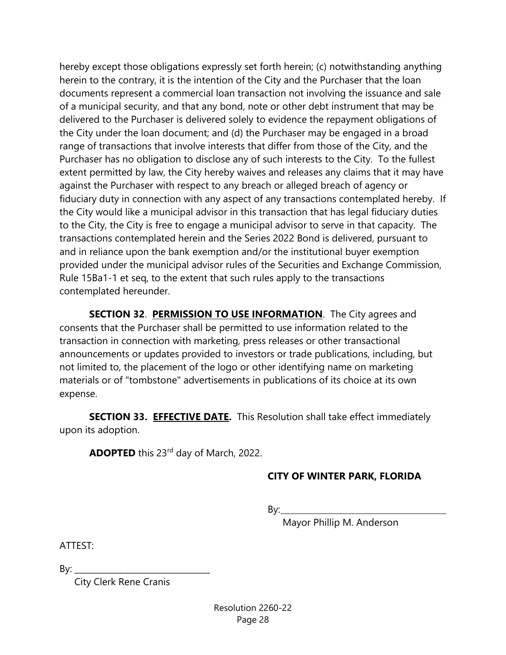hereby except those obligations expressly set forth herein; (c) notwithstanding anything herein to the contrary, it is the intention of the City and the Purchaser that the loan documents represent a commercial loan transaction not involving the issuance and sale of a municipal security, and that any bond, note or other debt instrument that may be delivered to the Purchaser is delivered solely to evidence the repayment obligations of the City under the loan document; and (d) the Purchaser may be engaged in a broad range of transactions that involve interests that differ from those of the City, and the Purchaser has no obligation to disclose any of such interests to the City. To the fullest extent permitted by law, the City hereby waives and releases any claims that it may have against the Purchaser with respect to any breach or alleged breach of agency or fiduciary duty in connection with any aspect of any transactions contemplated hereby. If the City would like a municipal advisor in this transaction that has legal fiduciary duties to the City, the City is free to engage a municipal advisor to serve in that capacity. The transactions contemplated herein and the Series 2022 Bond is delivered, pursuant to and in reliance upon the bank exemption and/or the institutional buyer exemption provided under the municipal advisor rules of the Securities and Exchange Commission, Rule 15Ba1-1 et seq, to the extent that such rules apply to the transactions contemplated hereunder.

**SECTION 32**. **PERMISSION TO USE INFORMATION**. The City agrees and consents that the Purchaser shall be permitted to use information related to the transaction in connection with marketing, press releases or other transactional announcements or updates provided to investors or trade publications, including, but not limited to, the placement of the logo or other identifying name on marketing materials or of "tombstone" advertisements in publications of its choice at its own expense.

**SECTION 33. EFFECTIVE DATE.** This Resolution shall take effect immediately upon its adoption.

**ADOPTED** this 23rd day of March, 2022.

# **CITY OF WINTER PARK, FLORIDA**

 $By:$  and  $By:$ 

Mayor Phillip M. Anderson

ATTEST:

By:  $\_\_$ 

City Clerk Rene Cranis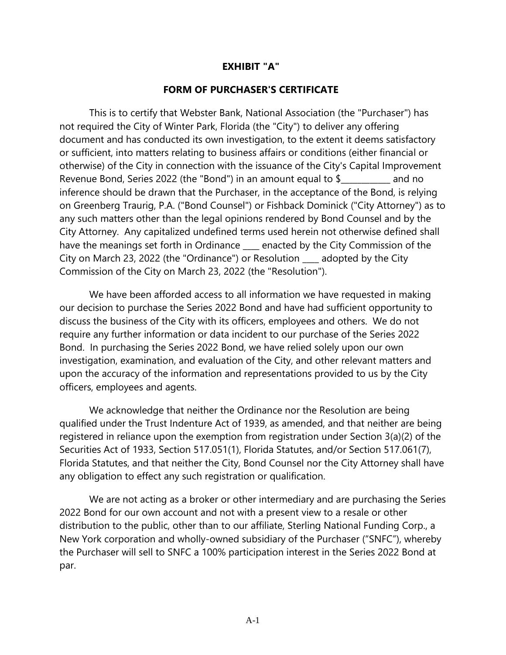### **EXHIBIT "A"**

### **FORM OF PURCHASER'S CERTIFICATE**

This is to certify that Webster Bank, National Association (the "Purchaser") has not required the City of Winter Park, Florida (the "City") to deliver any offering document and has conducted its own investigation, to the extent it deems satisfactory or sufficient, into matters relating to business affairs or conditions (either financial or otherwise) of the City in connection with the issuance of the City's Capital Improvement Revenue Bond, Series 2022 (the "Bond") in an amount equal to \$\_\_\_\_\_\_\_\_\_\_\_\_ and no inference should be drawn that the Purchaser, in the acceptance of the Bond, is relying on Greenberg Traurig, P.A. ("Bond Counsel") or Fishback Dominick ("City Attorney") as to any such matters other than the legal opinions rendered by Bond Counsel and by the City Attorney. Any capitalized undefined terms used herein not otherwise defined shall have the meanings set forth in Ordinance \_\_\_\_ enacted by the City Commission of the City on March 23, 2022 (the "Ordinance") or Resolution \_\_\_\_ adopted by the City Commission of the City on March 23, 2022 (the "Resolution").

We have been afforded access to all information we have requested in making our decision to purchase the Series 2022 Bond and have had sufficient opportunity to discuss the business of the City with its officers, employees and others. We do not require any further information or data incident to our purchase of the Series 2022 Bond. In purchasing the Series 2022 Bond, we have relied solely upon our own investigation, examination, and evaluation of the City, and other relevant matters and upon the accuracy of the information and representations provided to us by the City officers, employees and agents.

We acknowledge that neither the Ordinance nor the Resolution are being qualified under the Trust Indenture Act of 1939, as amended, and that neither are being registered in reliance upon the exemption from registration under Section 3(a)(2) of the Securities Act of 1933, Section 517.051(1), Florida Statutes, and/or Section 517.061(7), Florida Statutes, and that neither the City, Bond Counsel nor the City Attorney shall have any obligation to effect any such registration or qualification.

We are not acting as a broker or other intermediary and are purchasing the Series 2022 Bond for our own account and not with a present view to a resale or other distribution to the public, other than to our affiliate, Sterling National Funding Corp., a New York corporation and wholly-owned subsidiary of the Purchaser ("SNFC"), whereby the Purchaser will sell to SNFC a 100% participation interest in the Series 2022 Bond at par.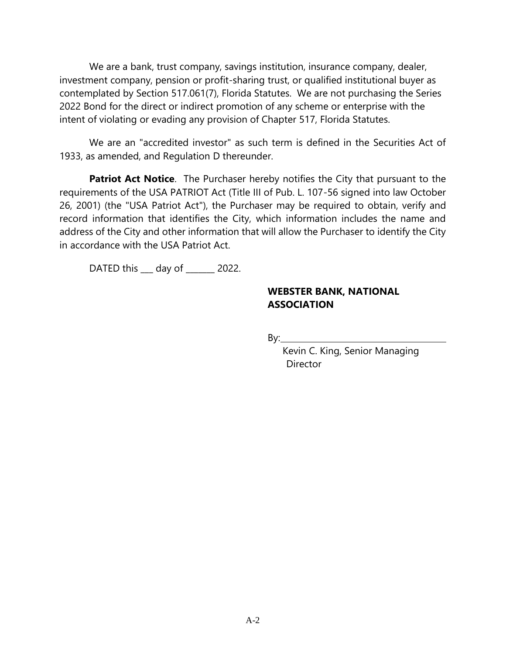We are a bank, trust company, savings institution, insurance company, dealer, investment company, pension or profit-sharing trust, or qualified institutional buyer as contemplated by Section 517.061(7), Florida Statutes. We are not purchasing the Series 2022 Bond for the direct or indirect promotion of any scheme or enterprise with the intent of violating or evading any provision of Chapter 517, Florida Statutes.

We are an "accredited investor" as such term is defined in the Securities Act of 1933, as amended, and Regulation D thereunder.

**Patriot Act Notice**. The Purchaser hereby notifies the City that pursuant to the requirements of the USA PATRIOT Act (Title III of Pub. L. 107-56 signed into law October 26, 2001) (the "USA Patriot Act"), the Purchaser may be required to obtain, verify and record information that identifies the City, which information includes the name and address of the City and other information that will allow the Purchaser to identify the City in accordance with the USA Patriot Act.

DATED this \_\_\_ day of \_\_\_\_\_\_\_ 2022.

## **WEBSTER BANK, NATIONAL ASSOCIATION**

By:

Kevin C. King, Senior Managing **Director**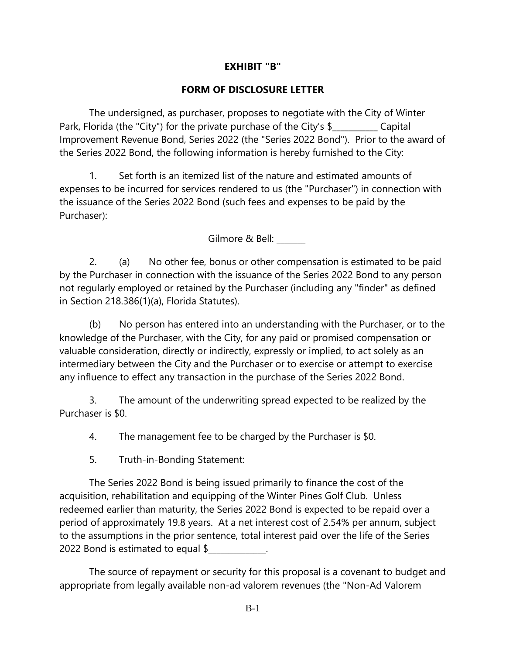### **EXHIBIT "B"**

### **FORM OF DISCLOSURE LETTER**

The undersigned, as purchaser, proposes to negotiate with the City of Winter Park, Florida (the "City") for the private purchase of the City's \$\_\_\_\_\_\_\_\_\_\_\_\_ Capital Improvement Revenue Bond, Series 2022 (the "Series 2022 Bond"). Prior to the award of the Series 2022 Bond, the following information is hereby furnished to the City:

1. Set forth is an itemized list of the nature and estimated amounts of expenses to be incurred for services rendered to us (the "Purchaser") in connection with the issuance of the Series 2022 Bond (such fees and expenses to be paid by the Purchaser):

Gilmore & Bell: \_\_\_\_\_\_\_

2. (a) No other fee, bonus or other compensation is estimated to be paid by the Purchaser in connection with the issuance of the Series 2022 Bond to any person not regularly employed or retained by the Purchaser (including any "finder" as defined in Section 218.386(1)(a), Florida Statutes).

(b) No person has entered into an understanding with the Purchaser, or to the knowledge of the Purchaser, with the City, for any paid or promised compensation or valuable consideration, directly or indirectly, expressly or implied, to act solely as an intermediary between the City and the Purchaser or to exercise or attempt to exercise any influence to effect any transaction in the purchase of the Series 2022 Bond.

3. The amount of the underwriting spread expected to be realized by the Purchaser is \$0.

4. The management fee to be charged by the Purchaser is \$0.

5. Truth-in-Bonding Statement:

The Series 2022 Bond is being issued primarily to finance the cost of the acquisition, rehabilitation and equipping of the Winter Pines Golf Club. Unless redeemed earlier than maturity, the Series 2022 Bond is expected to be repaid over a period of approximately 19.8 years. At a net interest cost of 2.54% per annum, subject to the assumptions in the prior sentence, total interest paid over the life of the Series 2022 Bond is estimated to equal  $\frac{1}{2}$ 

The source of repayment or security for this proposal is a covenant to budget and appropriate from legally available non-ad valorem revenues (the "Non-Ad Valorem